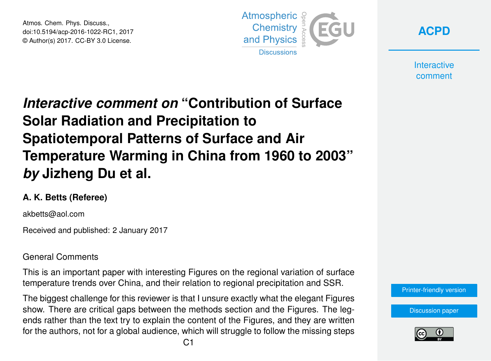Atmos. Chem. Phys. Discuss., doi:10.5194/acp-2016-1022-RC1, 2017 © Author(s) 2017. CC-BY 3.0 License.



**[ACPD](http://www.atmos-chem-phys-discuss.net/)**

**Interactive** comment

## *Interactive comment on* **"Contribution of Surface Solar Radiation and Precipitation to Spatiotemporal Patterns of Surface and Air Temperature Warming in China from 1960 to 2003"** *by* **Jizheng Du et al.**

## **A. K. Betts (Referee)**

akbetts@aol.com

Received and published: 2 January 2017

## General Comments

This is an important paper with interesting Figures on the regional variation of surface temperature trends over China, and their relation to regional precipitation and SSR.

The biggest challenge for this reviewer is that I unsure exactly what the elegant Figures show. There are critical gaps between the methods section and the Figures. The legends rather than the text try to explain the content of the Figures, and they are written for the authors, not for a global audience, which will struggle to follow the missing steps [Printer-friendly version](http://www.atmos-chem-phys-discuss.net/acp-2016-1022/acp-2016-1022-RC1-print.pdf)

[Discussion paper](http://www.atmos-chem-phys-discuss.net/acp-2016-1022)

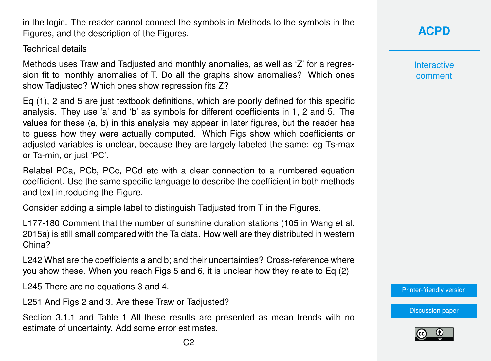in the logic. The reader cannot connect the symbols in Methods to the symbols in the Figures, and the description of the Figures.

Technical details

Methods uses Traw and Tadjusted and monthly anomalies, as well as 'Z' for a regression fit to monthly anomalies of T. Do all the graphs show anomalies? Which ones show Tadjusted? Which ones show regression fits Z?

Eq (1), 2 and 5 are just textbook definitions, which are poorly defined for this specific analysis. They use 'a' and 'b' as symbols for different coefficients in 1, 2 and 5. The values for these (a, b) in this analysis may appear in later figures, but the reader has to guess how they were actually computed. Which Figs show which coefficients or adjusted variables is unclear, because they are largely labeled the same: eg Ts-max or Ta-min, or just 'PC'.

Relabel PCa, PCb, PCc, PCd etc with a clear connection to a numbered equation coefficient. Use the same specific language to describe the coefficient in both methods and text introducing the Figure.

Consider adding a simple label to distinguish Tadjusted from T in the Figures.

L177-180 Comment that the number of sunshine duration stations (105 in Wang et al. 2015a) is still small compared with the Ta data. How well are they distributed in western China?

L242 What are the coefficients a and b; and their uncertainties? Cross-reference where you show these. When you reach Figs 5 and 6, it is unclear how they relate to Eq (2)

L245 There are no equations 3 and 4.

L251 And Figs 2 and 3. Are these Traw or Tadjusted?

Section 3.1.1 and Table 1 All these results are presented as mean trends with no estimate of uncertainty. Add some error estimates.

**[ACPD](http://www.atmos-chem-phys-discuss.net/)**

**Interactive** comment

[Printer-friendly version](http://www.atmos-chem-phys-discuss.net/acp-2016-1022/acp-2016-1022-RC1-print.pdf)

[Discussion paper](http://www.atmos-chem-phys-discuss.net/acp-2016-1022)